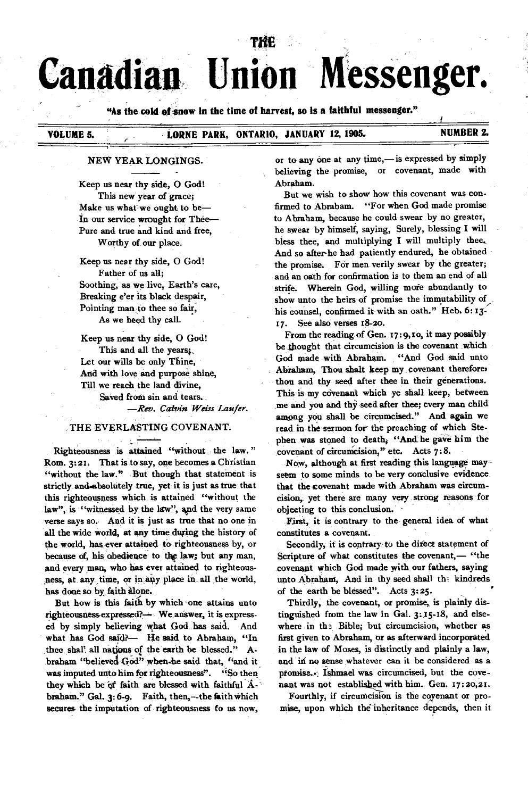# **Canadian Union Messenger.**

**Tite** 

"As the cold of snow in the time of harvest, so is a faithful messenger."

# **VOLUME 5. • LORNE PARK, ONTARIO, JANUARY 12, 1905. • NUMBER 2.**

#### **NEW YEAR LONGINGS.**

**Keep us near thy side, 0 God! This new year of grace; Make us what we ought to be— In our service wrought for Thee— Pure and true and kind and free, Worthy of our place.** 

**Keep us near thy side, 0 God! Father of us all; Soothing, as we live, Earth's care, Breaking e'er its black despair, Pointing man to thee so fair, As we heed thy call.** 

**Keep us near thy side, 0 God! This and all the years;, Let our wills be only Thine, And with love and purpose shine, Till we reach the land divine, Saved from sin and tears.**  *—Rev. Calvin Weiss Laufer.* 

**THE EVERLASTING COVENANT.** 

توري

**Righteousness is attained "without the law. " Rom. 3:21. That is to say, one becomes a Christian "without the law." But though that statement is strictly andwibsolutely true, yet it is just as true that this righteousness which is attained "without the**  law", is "witnessed by the law", and the very same **verse says so. And it is just as true that no one in all the wide world, at any time during the history of the world, has, ever attained to righteousness by, or because of, his obedience to the law; but any man, and every man, who has ever attained to righteousness, at any time, or in** *au* **place in all the world,**  has done so by faith alone.

**But how is this faith by which one attains unto**  righteousness-expressed?- We answer, it is express**ed by simply believing what God has said. And what has God said?— He said to Abraham, "In**  thee shal' all nations of the earth be blessed." Abraham "believed God" when he said that, "and it **was imputed unto him for righteousness". "So then they which be of faith are blessed with faithful** A**braham." Gal. 3:6-9. Faith, then,--the faith which secures the imputation of righteousness fo us now,** 

**or to any one at any time,— is expressed by simply believing the promise, or covenant, made with Abraham.** 

**But we wish to show how this covenant was confirmed to Abraham. "For when God made promise to Abraham, because he could swear by no greater, he swear by himself, saying, Surely, blessing I will bless thee, and multiplying I will multiply thee.. And so after-he had patiently endured, he obtained the promise. For men verily swear by the greater; and an oath for confirmation is to them an end of all**  strife. Wherein God, willing more abundantly to **show unto the heirs of promise the immutability of his counsel, confirmed it with an oath." Heb, 6:13- 17. See also verses 18-2o.** 

**From the reading of Gen. 17:9,1o, it may possibly be .thought that circumcision is the covenant wirich God made with Abraham. "And God said unto Abraham, Thou shalt keep my covenant therefore, thou and thy seed after thee in their generations. This is my covenant which ye shall keep, between me and you and thy seed after thee; every man child among you shall be circumcised." And again we**  read in the sermon for the preaching of which Ste**phen was stoned to death; "And he gave him the**  covenant of circumcision," etc. Acts 7:8.

**Now, although at first reading this language mayseem to some minds to be very conclusive evidence that the covenaht made with Abraham was circumcision, yet there are many very strong reasons for objecting to this conclusion. -** 

**First, it is contrary to the general idea of what constitutes a covenant.** 

**Secondly, it is contrary-to the direct statement of Scripture of what constitutes the covenant,— "the covenant which God made with our fathers, saying unto Abraham, And in thy seed shall th- kindreds of the earth be blessed". Acts 3:25.** 

**Thirdly, the covenant, or promise, is plainly distinguished from the law in Gal. 3:15-18, and elsewhere in th?. Bible; but circumcision, whether as**  first given to Abraham, or as afterward incorporated **in the law of Moses, is distinctly and plainly a law, and in no sense whatever can it be considered as a promise... Ishmael was circumcised, but the covenant was not establishecl with him. Gen. 17:20,21.** 

**Fourthly, if circumcision is the coyenant or promise, upon which the'inheritance depends, then it**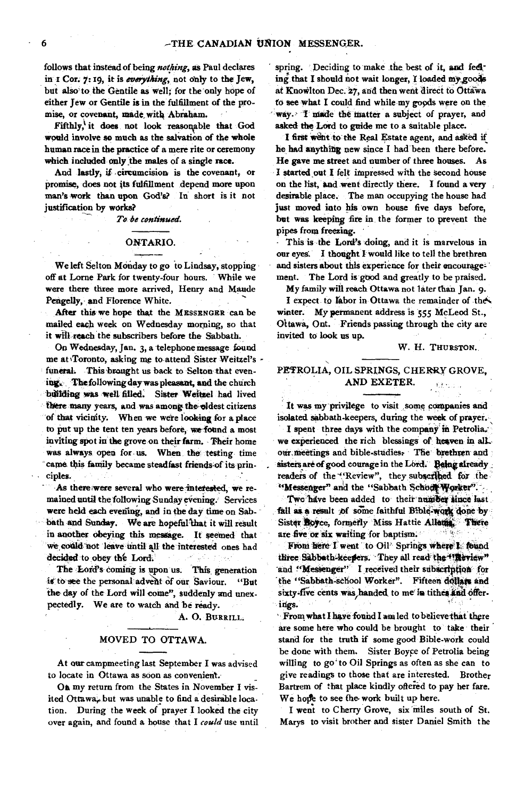**follows that instead of being** *nothing, as* **Paul declares**  in I Cor. 7:19, it is *everything*, not only to the Jew, **but also to the Gentile as well; for the only hope of either Jew or Gentile is in the fulfillment of the promise, or covenant, made. with Abraham.** 

Fifthly,<sup>1</sup> it does not look reasonable that God **would involve so much as the salvation of the whole human race in the practice of a mere rite or ceremony which included only the males of a single race.** 

**And lastly, if •circumcision is the covenant, or promise, does not its fulfillment depend more upon man's work than upon God's? In short is it not justification by works?** 

*To be continued.* 

#### **ONTARIO.**

**We left Selton Monday to go to Lindsay, stopping off at Lorne Park for twenty-four hours. While we were there three more arrived, Henry and Maude Pengelly, and Florence White.** 

**After this we hope that the MESSENGER can be mailed each week on Wednesday morning, so that it wIll reach the subscribers before the Sabbath.** 

**On Wednesday, Jan. 3, a telephone message found me at %Toronto, asking me to attend Sister Weitzel's**  funeral. This brought us back to Selton that even**ing.. Thefollowing day waspleasant, and the church bdil&ng was Well filled, Sister Weitzel had lived there many years, and was among the-eldest citizens of that vicinity. When we were looking for a place to put up the tent ten years before, we found a most inviting spot in the grove on their farm. Their home was always open for us. When, the testing time**  came this family became steadfast friends of its prin**ciples.** 

As there were several who were interested, we re**mained until the following Sunday evening: Services were held each evening, and in the day time on Sab**bath and Sunday. We are hopeful that it will result **in another obeying this message. It seemed that we eotild not leave until all the interested ones had**  *decided* **to obey the Lord.** 

**The Lord's coming is upon us. This**, **generation**  is to see the personal advent of our Saviour. "But **the day of the Lord will come", suddenly and unexpectedly. We are to watch and be ready.** 

A. O. BURRILL.

#### **MOVED TO OTTAWA.**

**At our campmeeting last September I was advised to locate in Ottawa as soon as convenient.** 

**On my return from the States in November I vis**ited Ottawa, but was unable to find a desirable loca. **tion. During the week of prayer I looked the city over again, and found a house that** *I could* **use until** 

**spring. Deciding to make** the **best of it, and fedl**ing that I should not wait longer, I loaded my goods **at Knovilton Dec. 27, and then went direct to Ottawa to see what I could find while my goods were on the**  way. I made the matter a subject of prayer, and **asked the Lord to guide me to a suitable place.** 

I first went to the Real Estate agent, and asked if **he had anything new since I had been there before. He gave the street and number of three houses. As I started out I felt impressed with the second house on the list, and went directly there. I found a very desirable place. The man occupying the house had just moved into his own house five days before, but was keeping fife in the former to prevent the pipes from freezing.** 

**This is the Lord's doing, and it is marvelous in our eyes. I thought I would like to tell the brethren and sisters about this experience for their encouragement. The Lord is good and greatly to be praised.** 

**My family will reach Ottawa not later than Jan. 9.** 

**I expect to tabor in Ottawa the remainder of the'« winter. My permanent address is 555 McLeod St., Ottawa, Ont. Friends passing through the city are invited to look us up.** 

### **W. H. THURSTON.**

# **PETROLIA, OIL SPRINGS, CHERRY GROVE, AND EXETER.**

**It was my privilege to visit ,some companies and isolated sabbath-keepers, during the week** of **prayer.** 

I spent three days with the company in Petrolia. **we experienced the rich blessings of heaven in all,**  our meetings and bible-studies. The brethren and sisters are of good courage in the Lord. Being already . readers of the "Review", they subscribed for the "Messenger" and the "Sabbath Schodt Worker".

**TWe have been added to theft°nuniber**'**Since last** . fall as a result of some faithful Bible-work done by Sister **Royce**, formerly Miss Hattie Allema, There are five or six waiting for baptism.

From here I went to Oil<sup>2</sup> Springs where **L** found three: Sabbath-keepers. They all read the Wirlew" **-and "Messenger" I received their subscription for 'the "Sabbath=sehool Worker". Fifteen dollies and**  sixty-five cents was handed to me<sup>r</sup> in tithes and offer-<br>ings.

**' From what I have found I am led to believethat** *there*  **are some here who could be brought to take their stand for the truth if some good Bible-work could**  be done with them. Sister Boyce of Petrolia being **willing to go' to Oil Springs as often as she can to give readings to those that are interested. Brother**  Bartrem of that place kindly offered to pay her fare. **We hope to see the work built up here.** 

**I went to Cherry Grove, six miles south of St. Marys to visit brother and sister Daniel Smith the**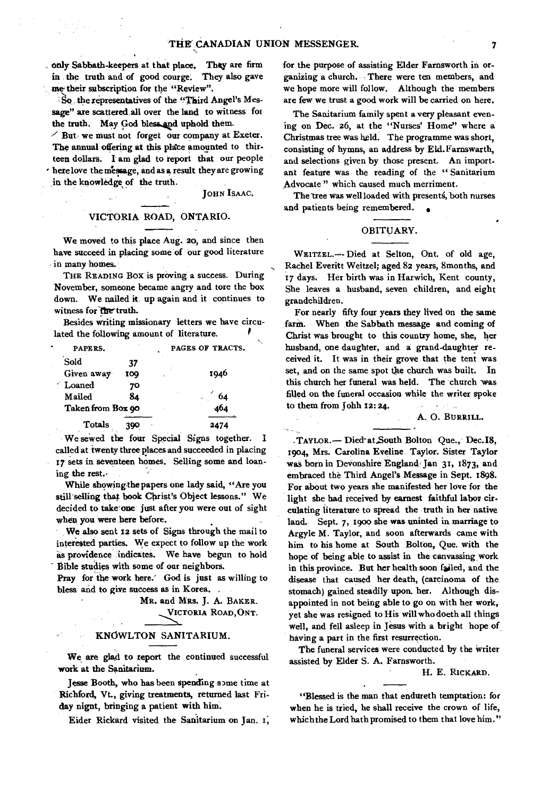only Sabbath-keepers at that place. They are firm in the truth and of good courge. They also gave me their subscription for the "Review".

So: the representatives of the "Third Angel's Message" are scattered all over the land to witness for the truth. May God bless and uphold them.

 $\angle$  But we must not forget our company at Exeter. The annual offering at this place amounted to thirteen dollars. I' am glad to report that our people • here love the message, and as a result they are growing in the knowledge of the truth.

**JOHN ISAAC.** 

#### VICTORIA ROAD, ONTARIO.

We moved to this place Aug. 20, and since then have succeed in placing some of our good literature in many homes.

**THE READING** Box is proving a success. During November, someone became angry and tore the box down. We nailed it up again and it continues to witness for the truth.

Besides writing missionary letters we have circulated the following amount of literature.

| PAPERS.           |     | PAGES OF TRACTS. |
|-------------------|-----|------------------|
| Sold              | 37  |                  |
| Given away        | 100 | 1946             |
| <b>Loaned</b>     | 70  |                  |
| Mailed            | 84  | 64               |
| Taken from Box 90 |     | 464              |
| <b>Totals</b>     |     |                  |

We sewed the four Special Signs together. I called at twenty three places and succeeded in placing 17 sets in seventeen homes. Selling some and loan-

ing the rest..<br>While showing the papers one lady said, "Are you still selling that book Christ's Object lessons." We decided to take one just after you were out of sight when you were here before.

We also sent **12** sets of Signs through the mail to interested parties. We expect to follow up the work as providence indicate& We have begun to hold Bible studies with some of our neighbors.

Pray for the work here.' God is just as willing to bless and to give success as in Korea.

> MR. and MRS. J. A. BAKER. **VICTORIA ROAD,ONT.**

#### KNOWLTON SANITARIUM.

We are glad to report the continued successful work at the Sanitarium.

Jesse Booth, who has been spending some time at Richford, Vt., giving treatments, returned last Friday nignt, bringing a patient with him.

Eider Rickard visited the Sanitarium on Jan. i;

for the purpose of assisting Elder Farnsworth in organizing a church. There were ten members, and we hope more will follow. Although the members are few we trust a good work will be carried on here.

The Sanitarium family spent a very pleasant evening on Dec. 26, at the "Nurses' Home" where a Christmas tree was held. The programme was short, consisting of hymns, an address by Eld.Famswarth, and selections given by those present. An important feature was the reading of the " Sanitarium Advocate " which caused much merriment.

The tree was well loaded with presents, both nurses and patients being remembered.

#### OBITUARY.

**WEITZEL.--** Died at Selton, Ont. of old age, Rachel Everitt Weitzel; aged 82 years, 8months, and 17 days. Her birth was in Harwich, Kent county, She leaves a husband, seven children, and eight grandchildren.

For nearly fifty four years they lived on the same farm. When the Sabbath message and coming of Christ was brought to this country home, she, her husband, one daughter, and a grand-daughter received it. It was in their grove that the tent was set, and on the same spot the church was built. In this church her funeral was held. The church 'was filled on the funeral occasion while the writer spoke to them from Johh **12:24.** 

#### A. 0. **BURRILL.**

**-TAYLOR.—** Died-at.South Bolton Que., Dec.I8, 1904, Mrs. Carolina Eveline Taylor. Sister Taylor was born in Devonshire England Jan 31, 1873, and embraced the Third Angel's Message in Sept. 1898. For about two years she manifested her love for the light she had received by earnest faithful labor circulating literature to spread the truth in her native land. Sept. 7, 1900 she was uninted in marriage to Argyle M. Taylor, and soon afterwards came with him to his home at South Bolton, Que. with the hope of being able to assist in the canvassing work in this province. But her health soon failed, and the disease that caused her death, (carcinoma of the stomach) gained steadily upon\_ her. Although disappointed in not being able to go on with her work, yet she was resigned to His will who doeth all things well, and fell asleep in Jesus with a bright hope of having a part in the first resurrection.

The funeral services were conducted by the writer assisted by Elder S. A, Farnsworth.

H. E. **RICKARD.** 

"Blessed is the man that endureth temptation: for when he is tried, he shall receive the crown of life, which the Lord hath promised to them that love him."